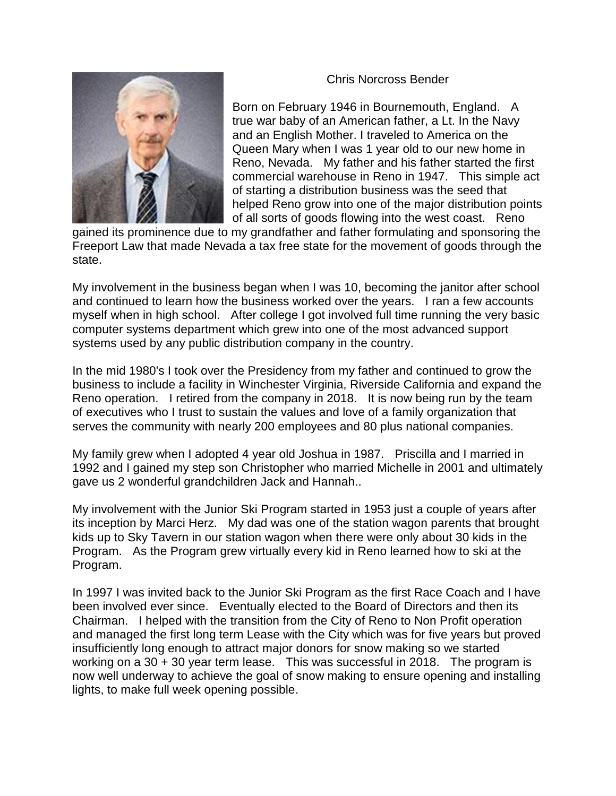## Chris Norcross Bender



Born on February 1946 in Bournemouth, England. A true war baby of an American father, a Lt. In the Navy and an English Mother. I traveled to America on the Queen Mary when I was 1 year old to our new home in Reno, Nevada. My father and his father started the first commercial warehouse in Reno in 1947. This simple act of starting a distribution business was the seed that helped Reno grow into one of the major distribution points of all sorts of goods flowing into the west coast. Reno

gained its prominence due to my grandfather and father formulating and sponsoring the Freeport Law that made Nevada a tax free state for the movement of goods through the state.

My involvement in the business began when I was 10, becoming the janitor after school and continued to learn how the business worked over the years. I ran a few accounts myself when in high school. After college I got involved full time running the very basic computer systems department which grew into one of the most advanced support systems used by any public distribution company in the country.

In the mid 1980's I took over the Presidency from my father and continued to grow the business to include a facility in Winchester Virginia, Riverside California and expand the Reno operation. I retired from the company in 2018. It is now being run by the team of executives who I trust to sustain the values and love of a family organization that serves the community with nearly 200 employees and 80 plus national companies.

My family grew when I adopted 4 year old Joshua in 1987. Priscilla and I married in 1992 and I gained my step son Christopher who married Michelle in 2001 and ultimately gave us 2 wonderful grandchildren Jack and Hannah..

My involvement with the Junior Ski Program started in 1953 just a couple of years after its inception by Marci Herz. My dad was one of the station wagon parents that brought kids up to Sky Tavern in our station wagon when there were only about 30 kids in the Program. As the Program grew virtually every kid in Reno learned how to ski at the Program.

In 1997 I was invited back to the Junior Ski Program as the first Race Coach and I have been involved ever since. Eventually elected to the Board of Directors and then its Chairman. I helped with the transition from the City of Reno to Non Profit operation and managed the first long term Lease with the City which was for five years but proved insufficiently long enough to attract major donors for snow making so we started working on a 30 + 30 year term lease. This was successful in 2018. The program is now well underway to achieve the goal of snow making to ensure opening and installing lights, to make full week opening possible.